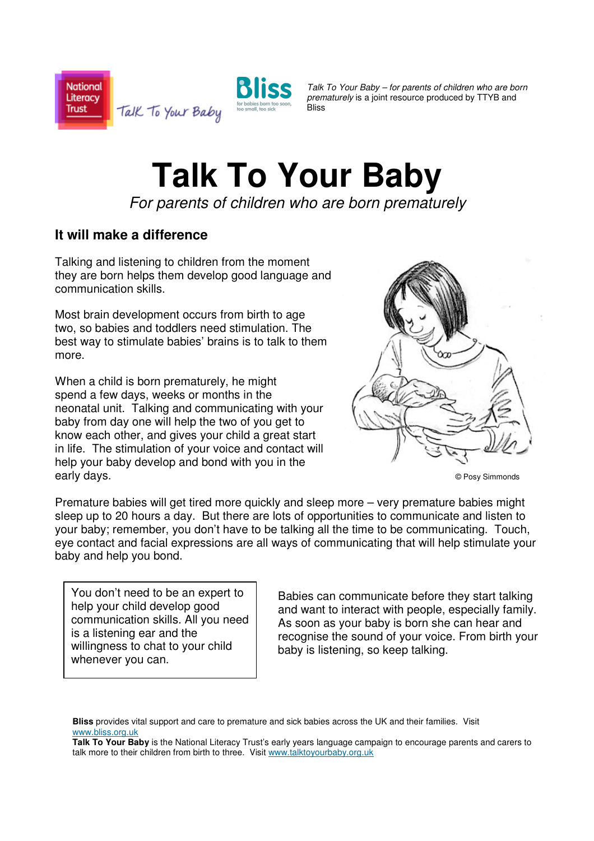



Talk To Your Baby – for parents of children who are born prematurely is a joint resource produced by TTYB and **Blice** 

## **Talk To Your Baby**

For parents of children who are born prematurely

## **It will make a difference**

Talking and listening to children from the moment they are born helps them develop good language and communication skills.

Most brain development occurs from birth to age two, so babies and toddlers need stimulation. The best way to stimulate babies' brains is to talk to them more.

When a child is born prematurely, he might spend a few days, weeks or months in the neonatal unit. Talking and communicating with your baby from day one will help the two of you get to know each other, and gives your child a great start in life. The stimulation of your voice and contact will help your baby develop and bond with you in the early days.



© Posy Simmonds

Premature babies will get tired more quickly and sleep more – very premature babies might sleep up to 20 hours a day. But there are lots of opportunities to communicate and listen to your baby; remember, you don't have to be talking all the time to be communicating. Touch, eye contact and facial expressions are all ways of communicating that will help stimulate your baby and help you bond.

You don't need to be an expert to help your child develop good communication skills. All you need is a listening ear and the willingness to chat to your child whenever you can.

Babies can communicate before they start talking and want to interact with people, especially family. As soon as your baby is born she can hear and recognise the sound of your voice. From birth your baby is listening, so keep talking.

**Bliss** provides vital support and care to premature and sick babies across the UK and their families. Visit www.bliss.org.uk

**Talk To Your Baby** is the National Literacy Trust's early years language campaign to encourage parents and carers to talk more to their children from birth to three. Visit www.talktoyourbaby.org.uk